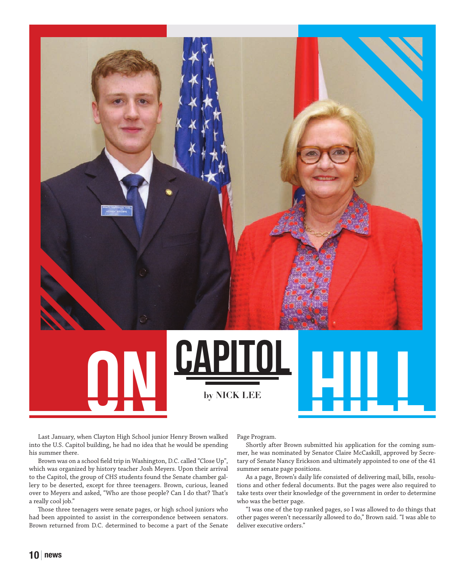**CAPITOL DIELES** 

Last January, when Clayton High School junior Henry Brown walked into the U.S. Capitol building, he had no idea that he would be spending his summer there.

Brown was on a school field trip in Washington, D.C. called "Close Up", which was organized by history teacher Josh Meyers. Upon their arrival to the Capitol, the group of CHS students found the Senate chamber gallery to be deserted, except for three teenagers. Brown, curious, leaned over to Meyers and asked, "Who are those people? Can I do that? That's a really cool job."

Those three teenagers were senate pages, or high school juniors who had been appointed to assist in the correspondence between senators. Brown returned from D.C. determined to become a part of the Senate Page Program.

Shortly after Brown submitted his application for the coming summer, he was nominated by Senator Claire McCaskill, approved by Secretary of Senate Nancy Erickson and ultimately appointed to one of the 41 summer senate page positions.

As a page, Brown's daily life consisted of delivering mail, bills, resolutions and other federal documents. But the pages were also required to take tests over their knowledge of the government in order to determine who was the better page.

"I was one of the top ranked pages, so I was allowed to do things that other pages weren't necessarily allowed to do," Brown said. "I was able to deliver executive orders."